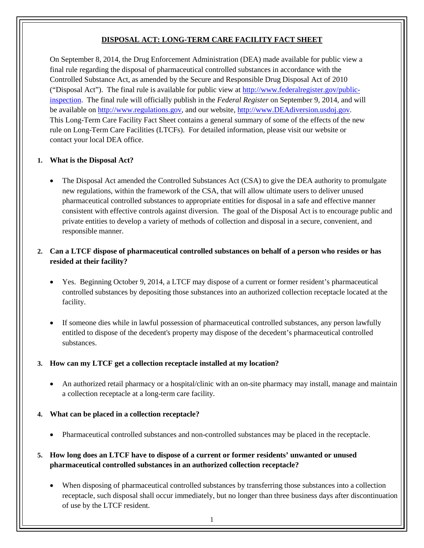# **DISPOSAL ACT: LONG-TERM CARE FACILITY FACT SHEET**

On September 8, 2014, the Drug Enforcement Administration (DEA) made available for public view a final rule regarding the disposal of pharmaceutical controlled substances in accordance with the Controlled Substance Act, as amended by the Secure and Responsible Drug Disposal Act of 2010 ("Disposal Act"). The final rule is available for public view at [http://www.federalregister.gov/public](http://www.federalregister.gov/public-inspection)[inspection.](http://www.federalregister.gov/public-inspection) The final rule will officially publish in the *Federal Register* on September 9, 2014, and will be available on [http://www.regulations.gov,](http://www.regulations.gov/) and our website, [http://www.DEAdiversion.usdoj.gov.](http://www.deadiversion.usdoj.gov/) This Long-Term Care Facility Fact Sheet contains a general summary of some of the effects of the new rule on Long-Term Care Facilities (LTCFs). For detailed information, please visit our website or contact your local DEA office.

#### **1. What is the Disposal Act?**

The Disposal Act amended the Controlled Substances Act (CSA) to give the DEA authority to promulgate new regulations, within the framework of the CSA, that will allow ultimate users to deliver unused pharmaceutical controlled substances to appropriate entities for disposal in a safe and effective manner consistent with effective controls against diversion. The goal of the Disposal Act is to encourage public and private entities to develop a variety of methods of collection and disposal in a secure, convenient, and responsible manner.

## **2. Can a LTCF dispose of pharmaceutical controlled substances on behalf of a person who resides or has resided at their facility?**

- Yes. Beginning October 9, 2014, a LTCF may dispose of a current or former resident's pharmaceutical controlled substances by depositing those substances into an authorized collection receptacle located at the facility.
- If someone dies while in lawful possession of pharmaceutical controlled substances, any person lawfully entitled to dispose of the decedent's property may dispose of the decedent's pharmaceutical controlled substances.

## **3. How can my LTCF get a collection receptacle installed at my location?**

• An authorized retail pharmacy or a hospital/clinic with an on-site pharmacy may install, manage and maintain a collection receptacle at a long-term care facility.

#### **4. What can be placed in a collection receptacle?**

• Pharmaceutical controlled substances and non-controlled substances may be placed in the receptacle.

## **5. How long does an LTCF have to dispose of a current or former residents' unwanted or unused pharmaceutical controlled substances in an authorized collection receptacle?**

• When disposing of pharmaceutical controlled substances by transferring those substances into a collection receptacle, such disposal shall occur immediately, but no longer than three business days after discontinuation of use by the LTCF resident.